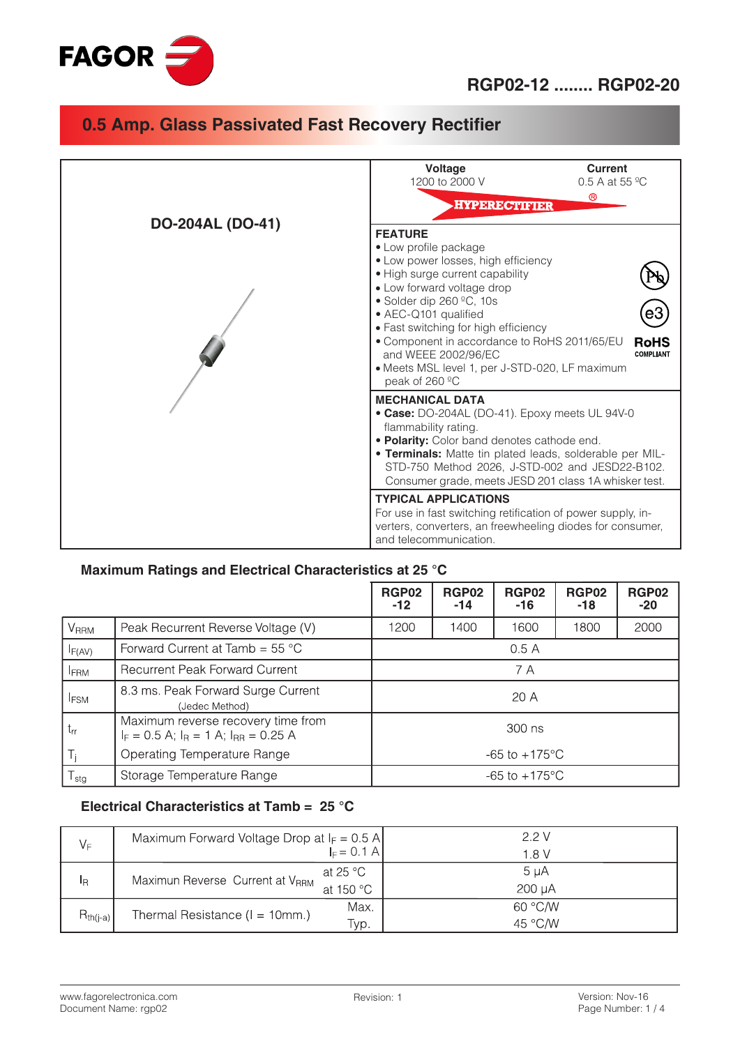

|                         | <b>Voltage</b><br>Current<br>1200 to 2000 V<br>0.5 A at 55 $^{\circ}$ C<br>$^{\circledR}$<br><b>HYPERECTIFIER</b>                                                                                                                                                                                                                                                                                                         |  |  |
|-------------------------|---------------------------------------------------------------------------------------------------------------------------------------------------------------------------------------------------------------------------------------------------------------------------------------------------------------------------------------------------------------------------------------------------------------------------|--|--|
| <b>DO-204AL (DO-41)</b> | <b>FEATURE</b><br>• Low profile package<br>• Low power losses, high efficiency<br>• High surge current capability<br>• Low forward voltage drop<br>• Solder dip 260 °C, 10s<br>• AEC-Q101 qualified<br>• Fast switching for high efficiency<br>• Component in accordance to RoHS 2011/65/EU<br><b>RoHS</b><br>and WEEE 2002/96/EC<br><b>COMPLIANT</b><br>• Meets MSL level 1, per J-STD-020, LF maximum<br>peak of 260 °C |  |  |
|                         | <b>MECHANICAL DATA</b><br>• Case: DO-204AL (DO-41). Epoxy meets UL 94V-0<br>flammability rating.<br>. Polarity: Color band denotes cathode end.<br>. Terminals: Matte tin plated leads, solderable per MIL-<br>STD-750 Method 2026, J-STD-002 and JESD22-B102.<br>Consumer grade, meets JESD 201 class 1A whisker test.                                                                                                   |  |  |
|                         | <b>TYPICAL APPLICATIONS</b><br>For use in fast switching retification of power supply, in-<br>verters, converters, an freewheeling diodes for consumer,<br>and telecommunication.                                                                                                                                                                                                                                         |  |  |

### **Maximum Ratings and Electrical Characteristics at 25 °C**

|                            |                                                                                               | <b>RGP02</b><br>$-12$     | <b>RGP02</b><br>-14 | <b>RGP02</b><br>$-16$     | <b>RGP02</b><br>-18 | <b>RGP02</b><br>$-20$ |
|----------------------------|-----------------------------------------------------------------------------------------------|---------------------------|---------------------|---------------------------|---------------------|-----------------------|
| <b>V</b> <sub>RRM</sub>    | Peak Recurrent Reverse Voltage (V)                                                            | 1200                      | 1400                | 1600                      | 1800                | 2000                  |
| F(AV)                      | Forward Current at Tamb = $55^{\circ}$ C                                                      |                           |                     | 0.5A                      |                     |                       |
| <b>FRM</b>                 | Recurrent Peak Forward Current                                                                | 7 A                       |                     |                           |                     |                       |
| <b>IFSM</b>                | 8.3 ms. Peak Forward Surge Current<br>(Jedec Method)                                          | 20A                       |                     |                           |                     |                       |
| $t_{rr}$                   | Maximum reverse recovery time from<br>300 ns<br>$I_F = 0.5$ A; $I_R = 1$ A; $I_{RR} = 0.25$ A |                           |                     |                           |                     |                       |
| $T_1$                      | Operating Temperature Range                                                                   | $-65$ to $+175^{\circ}$ C |                     |                           |                     |                       |
| ${\mathsf T}_{\text{stg}}$ | Storage Temperature Range                                                                     |                           |                     | $-65$ to $+175^{\circ}$ C |                     |                       |

#### **Electrical Characteristics at Tamb = 25 °C**

| $V_F$         | Maximum Forward Voltage Drop at $I_F = 0.5$ A | $E = 0.1$ A           | 22V<br>1 8 V        |
|---------------|-----------------------------------------------|-----------------------|---------------------|
| ΙŖ            | Maximun Reverse Current at VRRM               | at 25 °C<br>at 150 °C | 5 µA<br>$200 \mu A$ |
| $R_{th(j-a)}$ | Thermal Resistance ( $I = 10$ mm.)            | Max.<br>Typ.          | 60 °C/W<br>45 °C/W  |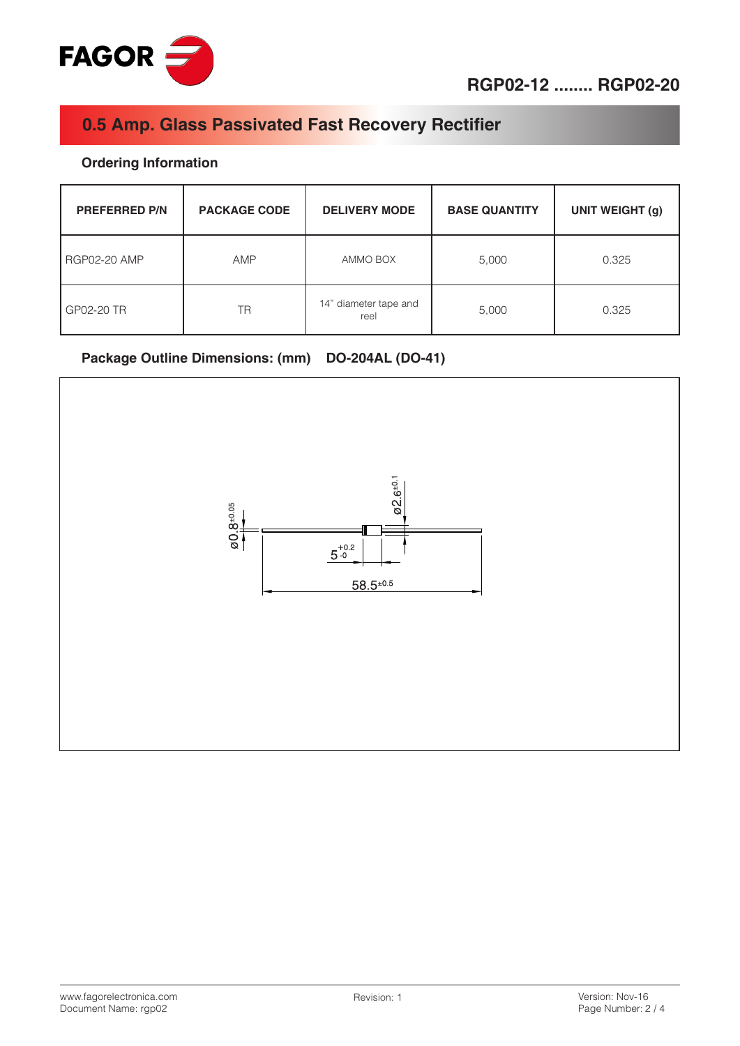

### **Ordering Information**

| <b>PREFERRED P/N</b> | <b>PACKAGE CODE</b> | <b>DELIVERY MODE</b>          | <b>BASE QUANTITY</b> | <b>UNIT WEIGHT (g)</b> |
|----------------------|---------------------|-------------------------------|----------------------|------------------------|
| <b>RGP02-20 AMP</b>  | <b>AMP</b>          | AMMO BOX                      | 5,000                | 0.325                  |
| GP02-20 TR           | <b>TR</b>           | 14" diameter tape and<br>reel | 5,000                | 0.325                  |

#### **Package Outline Dimensions: (mm) DO-204AL (DO-41)**

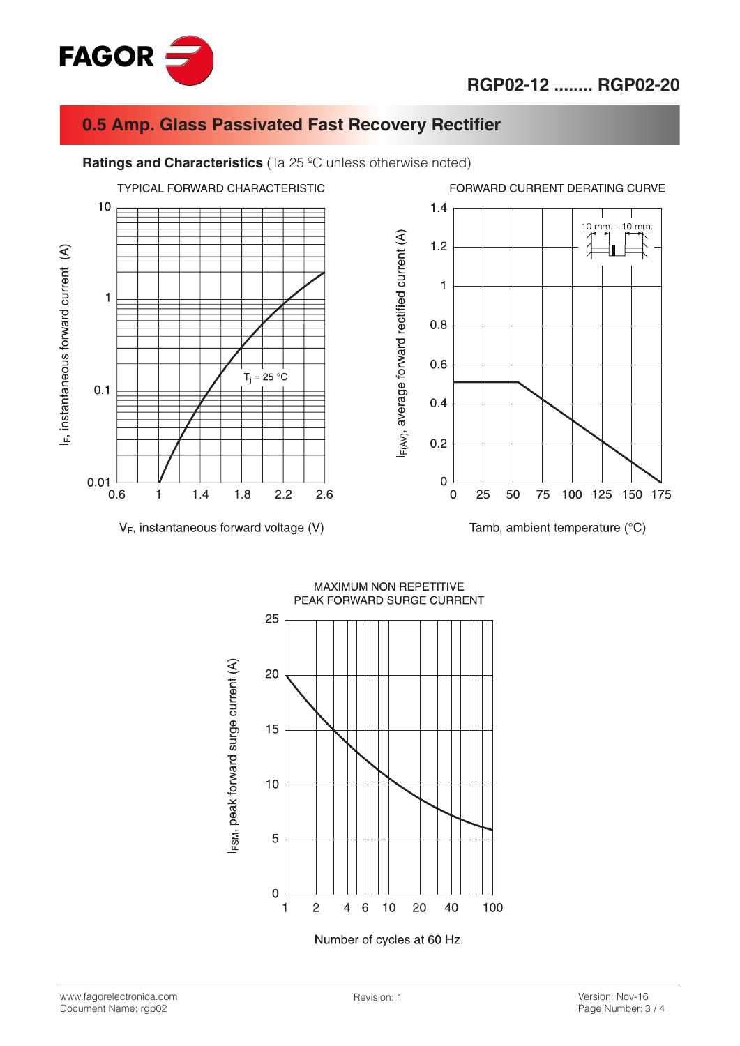



**Ratings and Characteristics** (Ta 25 ºC unless otherwise noted)



 $V_F$ , instantaneous forward voltage (V)



MAXIMUM NON REPETITIVE PEAK FORWARD SURGE CURRENT



www.fagorelectronica.com Document Name: rgp02